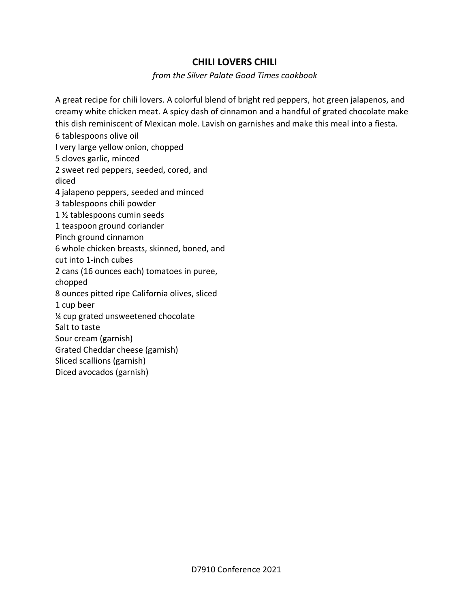## **CHILI LOVERS CHILI**

*from the Silver Palate Good Times cookbook*

A great recipe for chili lovers. A colorful blend of bright red peppers, hot green jalapenos, and creamy white chicken meat. A spicy dash of cinnamon and a handful of grated chocolate make this dish reminiscent of Mexican mole. Lavish on garnishes and make this meal into a fiesta. 6 tablespoons olive oil I very large yellow onion, chopped 5 cloves garlic, minced 2 sweet red peppers, seeded, cored, and diced 4 jalapeno peppers, seeded and minced 3 tablespoons chili powder 1 ½ tablespoons cumin seeds 1 teaspoon ground coriander Pinch ground cinnamon 6 whole chicken breasts, skinned, boned, and cut into 1-inch cubes 2 cans (16 ounces each) tomatoes in puree, chopped 8 ounces pitted ripe California olives, sliced 1 cup beer ¼ cup grated unsweetened chocolate Salt to taste Sour cream (garnish) Grated Cheddar cheese (garnish) Sliced scallions (garnish) Diced avocados (garnish)